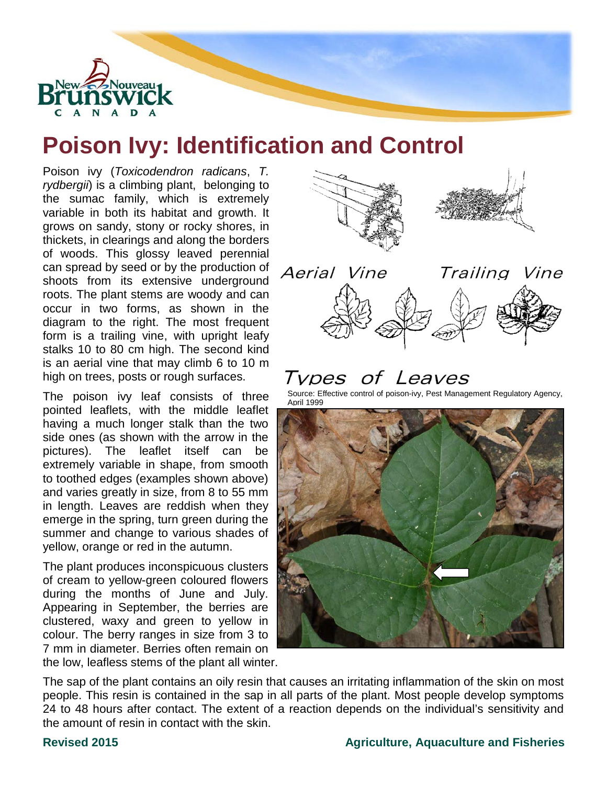

# **Poison Ivy: Identification and Control**

Poison ivy (*Toxicodendron radicans*, *T. rydbergii*) is a climbing plant, belonging to the sumac family, which is extremely variable in both its habitat and growth. It grows on sandy, stony or rocky shores, in thickets, in clearings and along the borders of woods. This glossy leaved perennial can spread by seed or by the production of shoots from its extensive underground roots. The plant stems are woody and can occur in two forms, as shown in the diagram to the right. The most frequent form is a trailing vine, with upright leafy stalks 10 to 80 cm high. The second kind is an aerial vine that may climb 6 to 10 m high on trees, posts or rough surfaces.

The poison ivy leaf consists of three pointed leaflets, with the middle leaflet having a much longer stalk than the two side ones (as shown with the arrow in the pictures). The leaflet itself can be extremely variable in shape, from smooth to toothed edges (examples shown above) and varies greatly in size, from 8 to 55 mm in length. Leaves are reddish when they emerge in the spring, turn green during the summer and change to various shades of yellow, orange or red in the autumn.

The plant produces inconspicuous clusters of cream to yellow-green coloured flowers during the months of June and July. Appearing in September, the berries are clustered, waxy and green to yellow in colour. The berry ranges in size from 3 to 7 mm in diameter. Berries often remain on the low, leafless stems of the plant all winter.





### of Leaves l vpes

Source: Effective control of poison-ivy, Pest Management Regulatory Agency, April 1999



The sap of the plant contains an oily resin that causes an irritating inflammation of the skin on most people. This resin is contained in the sap in all parts of the plant. Most people develop symptoms 24 to 48 hours after contact. The extent of a reaction depends on the individual's sensitivity and the amount of resin in contact with the skin.